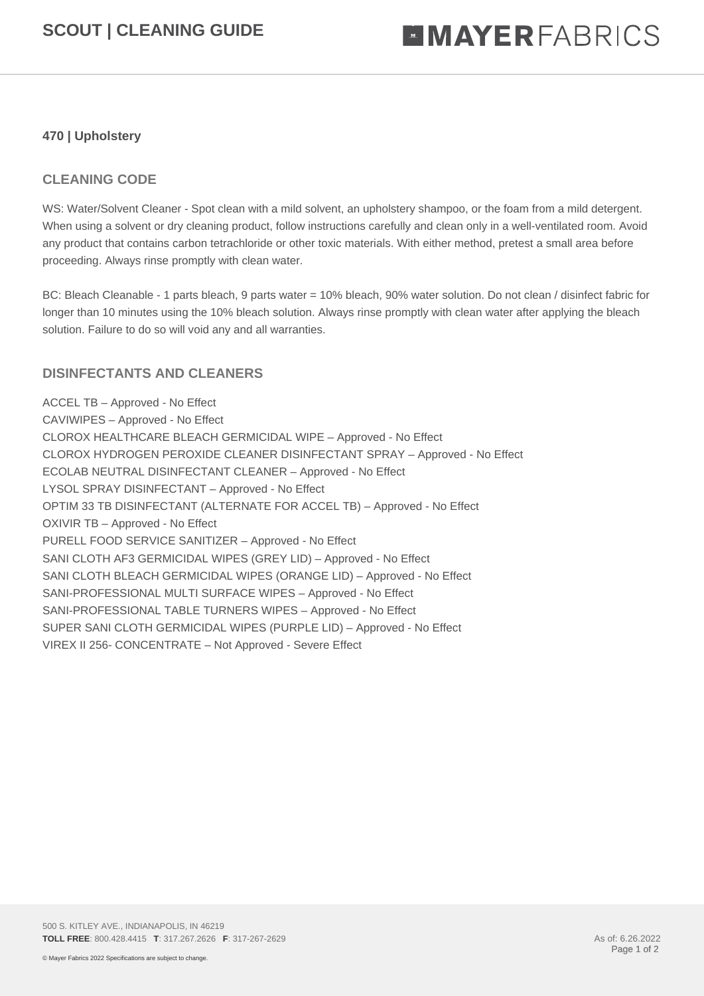## **470 | Upholstery**

## **CLEANING CODE**

WS: Water/Solvent Cleaner - Spot clean with a mild solvent, an upholstery shampoo, or the foam from a mild detergent. When using a solvent or dry cleaning product, follow instructions carefully and clean only in a well-ventilated room. Avoid any product that contains carbon tetrachloride or other toxic materials. With either method, pretest a small area before proceeding. Always rinse promptly with clean water.

BC: Bleach Cleanable - 1 parts bleach, 9 parts water = 10% bleach, 90% water solution. Do not clean / disinfect fabric for longer than 10 minutes using the 10% bleach solution. Always rinse promptly with clean water after applying the bleach solution. Failure to do so will void any and all warranties.

## **DISINFECTANTS AND CLEANERS**

ACCEL TB – Approved - No Effect CAVIWIPES – Approved - No Effect CLOROX HEALTHCARE BLEACH GERMICIDAL WIPE – Approved - No Effect CLOROX HYDROGEN PEROXIDE CLEANER DISINFECTANT SPRAY – Approved - No Effect ECOLAB NEUTRAL DISINFECTANT CLEANER – Approved - No Effect LYSOL SPRAY DISINFECTANT – Approved - No Effect OPTIM 33 TB DISINFECTANT (ALTERNATE FOR ACCEL TB) – Approved - No Effect OXIVIR TB – Approved - No Effect PURELL FOOD SERVICE SANITIZER – Approved - No Effect SANI CLOTH AF3 GERMICIDAL WIPES (GREY LID) – Approved - No Effect SANI CLOTH BLEACH GERMICIDAL WIPES (ORANGE LID) – Approved - No Effect SANI-PROFESSIONAL MULTI SURFACE WIPES – Approved - No Effect SANI-PROFESSIONAL TABLE TURNERS WIPES – Approved - No Effect SUPER SANI CLOTH GERMICIDAL WIPES (PURPLE LID) – Approved - No Effect VIREX II 256- CONCENTRATE – Not Approved - Severe Effect